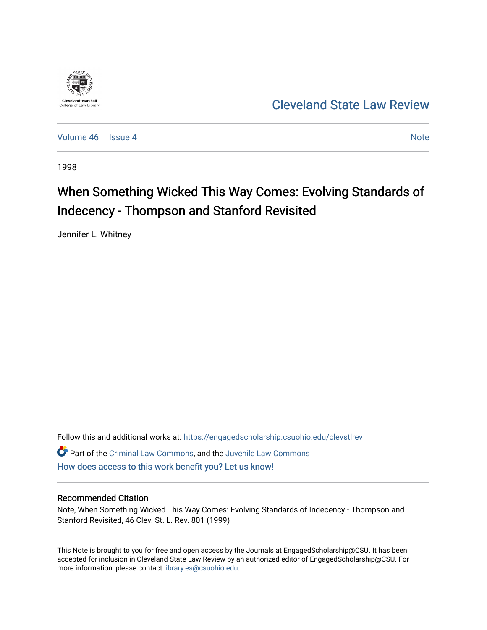

[Cleveland State Law Review](https://engagedscholarship.csuohio.edu/clevstlrev) 

[Volume 46](https://engagedscholarship.csuohio.edu/clevstlrev/vol46) Session 4 [Note](https://engagedscholarship.csuohio.edu/clevstlrev/vol46/iss4/8) 2 Note 2 Note 2 Note 2 Note 2 Note 2 Note 2 Note 2 Note 2 Note 2 Note 2 Note 2 Note 2 Note 2 Note 2 Note 2 Note 2 Note 2 Note 2 Note 2 Note 2 Note 2 Note 2 Note 2 Note 2 Note 2 Note 2 Note 2 Note 2

1998

# When Something Wicked This Way Comes: Evolving Standards of Indecency - Thompson and Stanford Revisited

Jennifer L. Whitney

Follow this and additional works at: [https://engagedscholarship.csuohio.edu/clevstlrev](https://engagedscholarship.csuohio.edu/clevstlrev?utm_source=engagedscholarship.csuohio.edu%2Fclevstlrev%2Fvol46%2Fiss4%2F8&utm_medium=PDF&utm_campaign=PDFCoverPages) Part of the [Criminal Law Commons,](http://network.bepress.com/hgg/discipline/912?utm_source=engagedscholarship.csuohio.edu%2Fclevstlrev%2Fvol46%2Fiss4%2F8&utm_medium=PDF&utm_campaign=PDFCoverPages) and the [Juvenile Law Commons](http://network.bepress.com/hgg/discipline/851?utm_source=engagedscholarship.csuohio.edu%2Fclevstlrev%2Fvol46%2Fiss4%2F8&utm_medium=PDF&utm_campaign=PDFCoverPages)  [How does access to this work benefit you? Let us know!](http://library.csuohio.edu/engaged/)

# Recommended Citation

Note, When Something Wicked This Way Comes: Evolving Standards of Indecency - Thompson and Stanford Revisited, 46 Clev. St. L. Rev. 801 (1999)

This Note is brought to you for free and open access by the Journals at EngagedScholarship@CSU. It has been accepted for inclusion in Cleveland State Law Review by an authorized editor of EngagedScholarship@CSU. For more information, please contact [library.es@csuohio.edu](mailto:library.es@csuohio.edu).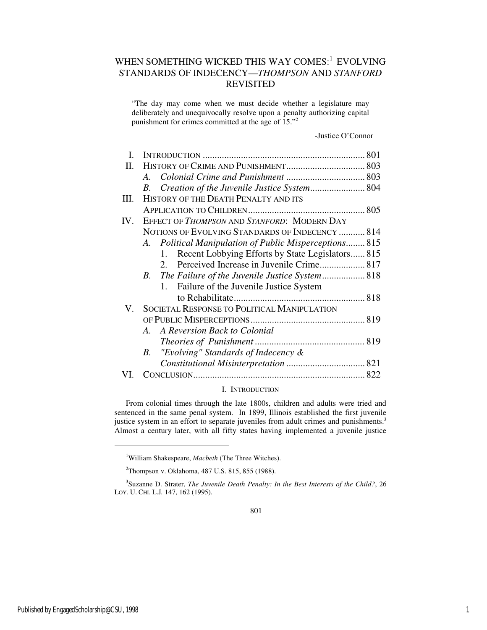# WHEN SOMETHING WICKED THIS WAY COMES:<sup>1</sup> EVOLVING STANDARDS OF INDECENCY—*THOMPSON* AND *STANFORD* REVISITED

"The day may come when we must decide whether a legislature may deliberately and unequivocally resolve upon a penalty authorizing capital punishment for crimes committed at the age of 15."<sup>2</sup>

-Justice O'Connor

| Ι.  |                                                        |
|-----|--------------------------------------------------------|
| П.  |                                                        |
|     | $A_{\cdot}$                                            |
|     | B.                                                     |
| HL. | HISTORY OF THE DEATH PENALTY AND ITS                   |
|     |                                                        |
| IV. | EFFECT OF THOMPSON AND STANFORD: MODERN DAY            |
|     | NOTIONS OF EVOLVING STANDARDS OF INDECENCY  814        |
|     | A. Political Manipulation of Public Misperceptions 815 |
|     | Recent Lobbying Efforts by State Legislators 815<br>1. |
|     | $2_{-}$                                                |
|     | <i>B</i> .                                             |
|     | Failure of the Juvenile Justice System<br>$1_{-}$      |
|     |                                                        |
| V.  | <b>SOCIETAL RESPONSE TO POLITICAL MANIPULATION</b>     |
|     |                                                        |
|     | A. A Reversion Back to Colonial                        |
|     |                                                        |
|     | "Evolving" Standards of Indecency &<br>В.              |
|     |                                                        |
|     |                                                        |

# I. INTRODUCTION

From colonial times through the late 1800s, children and adults were tried and sentenced in the same penal system. In 1899, Illinois established the first juvenile justice system in an effort to separate juveniles from adult crimes and punishments.<sup>3</sup> Almost a century later, with all fifty states having implemented a juvenile justice

j

<sup>1</sup>William Shakespeare, *Macbeth* (The Three Witches).

<sup>2</sup>Thompson v. Oklahoma, 487 U.S. 815, 855 (1988).

<sup>3</sup> Suzanne D. Strater, *The Juvenile Death Penalty: In the Best Interests of the Child?*, 26 LOY. U. CHI. L.J*.* 147, 162 (1995).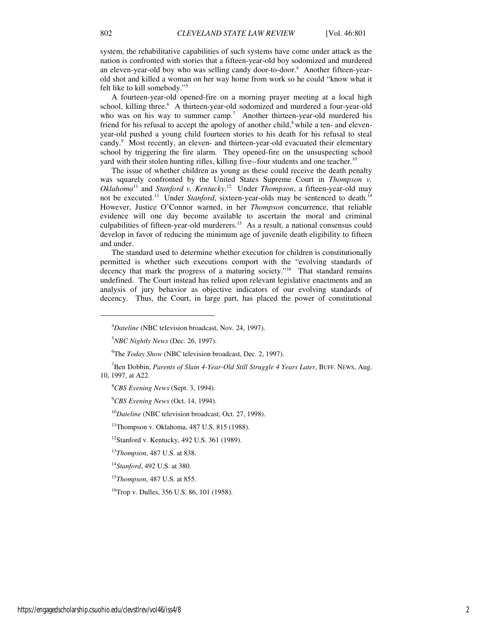system, the rehabilitative capabilities of such systems have come under attack as the nation is confronted with stories that a fifteen-year-old boy sodomized and murdered an eleven-year-old boy who was selling candy door-to-door.<sup>4</sup> Another fifteen-yearold shot and killed a woman on her way home from work so he could "know what it felt like to kill somebody."<sup>5</sup>

A fourteen-year-old opened-fire on a morning prayer meeting at a local high school, killing three.<sup>6</sup> A thirteen-year-old sodomized and murdered a four-year-old who was on his way to summer camp.<sup>7</sup> Another thirteen-year-old murdered his friend for his refusal to accept the apology of another child, $\delta$  while a ten- and elevenyear-old pushed a young child fourteen stories to his death for his refusal to steal candy.<sup>9</sup> Most recently, an eleven- and thirteen-year-old evacuated their elementary school by triggering the fire alarm. They opened-fire on the unsuspecting school yard with their stolen hunting rifles, killing five--four students and one teacher.<sup>10</sup>

The issue of whether children as young as these could receive the death penalty was squarely confronted by the United States Supreme Court in *Thompson v. Oklahoma*<sup>11</sup> and *Stanford v. Kentucky*. <sup>12</sup> Under *Thompson*, a fifteen-year-old may not be executed.<sup>13</sup> Under *Stanford*, sixteen-year-olds may be sentenced to death.<sup>14</sup> However, Justice O'Connor warned, in her *Thompson* concurrence, that reliable evidence will one day become available to ascertain the moral and criminal culpabilities of fifteen-year-old murderers.<sup>15</sup> As a result, a national consensus could develop in favor of reducing the minimum age of juvenile death eligibility to fifteen and under.

The standard used to determine whether execution for children is constitutionally permitted is whether such executions comport with the "evolving standards of decency that mark the progress of a maturing society."<sup>16</sup> That standard remains undefined. The Court instead has relied upon relevant legislative enactments and an analysis of jury behavior as objective indicators of our evolving standards of decency. Thus, the Court, in large part, has placed the power of constitutional

<sup>6</sup>The *Today Show* (NBC television broadcast, Dec. 2, 1997).

<sup>7</sup>Ben Dobbin, *Parents of Slain 4-Year-Old Still Struggle 4 Years Later*, BUFF. NEWS, Aug. 10, 1997, at A22.

<sup>8</sup>*CBS Evening News* (Sept. 3, 1994).

<sup>9</sup>*CBS Evening News* (Oct. 14, 1994).

<sup>10</sup>*Dateline* (NBC television broadcast, Oct. 27, 1998).

<sup>11</sup>Thompson v. Oklahoma, 487 U.S. 815 (1988).

<sup>12</sup>Stanford v. Kentucky, 492 U.S. 361 (1989).

<sup>13</sup>*Thompson*, 487 U.S. at 838.

<sup>14</sup>*Stanford*, 492 U.S. at 380.

<sup>15</sup>*Thompson*, 487 U.S. at 855.

 $^{16}$ Trop v. Dulles, 356 U.S. 86, 101 (1958).

j

<sup>4</sup>*Dateline* (NBC television broadcast, Nov. 24, 1997).

<sup>5</sup>*NBC Nightly News* (Dec. 26, 1997).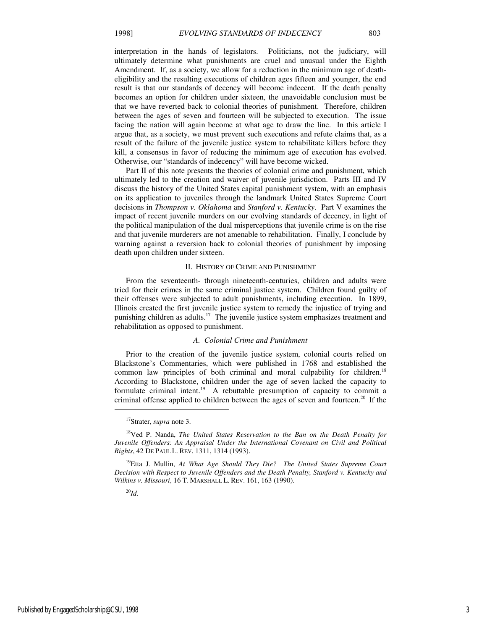interpretation in the hands of legislators. Politicians, not the judiciary, will ultimately determine what punishments are cruel and unusual under the Eighth Amendment. If, as a society, we allow for a reduction in the minimum age of deatheligibility and the resulting executions of children ages fifteen and younger, the end result is that our standards of decency will become indecent. If the death penalty becomes an option for children under sixteen, the unavoidable conclusion must be that we have reverted back to colonial theories of punishment. Therefore, children between the ages of seven and fourteen will be subjected to execution. The issue facing the nation will again become at what age to draw the line. In this article I argue that, as a society, we must prevent such executions and refute claims that, as a result of the failure of the juvenile justice system to rehabilitate killers before they kill, a consensus in favor of reducing the minimum age of execution has evolved. Otherwise, our "standards of indecency" will have become wicked.

Part II of this note presents the theories of colonial crime and punishment, which ultimately led to the creation and waiver of juvenile jurisdiction. Parts III and IV discuss the history of the United States capital punishment system, with an emphasis on its application to juveniles through the landmark United States Supreme Court decisions in *Thompson v. Oklahoma* and *Stanford v. Kentucky*. Part V examines the impact of recent juvenile murders on our evolving standards of decency, in light of the political manipulation of the dual misperceptions that juvenile crime is on the rise and that juvenile murderers are not amenable to rehabilitation. Finally, I conclude by warning against a reversion back to colonial theories of punishment by imposing death upon children under sixteen.

# II. HISTORY OF CRIME AND PUNISHMENT

From the seventeenth- through nineteenth-centuries, children and adults were tried for their crimes in the same criminal justice system. Children found guilty of their offenses were subjected to adult punishments, including execution. In 1899, Illinois created the first juvenile justice system to remedy the injustice of trying and punishing children as adults.<sup>17</sup> The juvenile justice system emphasizes treatment and rehabilitation as opposed to punishment.

# *A. Colonial Crime and Punishment*

Prior to the creation of the juvenile justice system, colonial courts relied on Blackstone's Commentaries, which were published in 1768 and established the common law principles of both criminal and moral culpability for children.<sup>18</sup> According to Blackstone, children under the age of seven lacked the capacity to formulate criminal intent.<sup>19</sup> A rebuttable presumption of capacity to commit a criminal offense applied to children between the ages of seven and fourteen.<sup>20</sup> If the

 $^{20}$ *Id.* 

1

<sup>17</sup>Strater, *supra* note 3.

<sup>18</sup>Ved P. Nanda, *The United States Reservation to the Ban on the Death Penalty for Juvenile Offenders: An Appraisal Under the International Covenant on Civil and Political Rights*, 42 DE PAUL L. REV. 1311, 1314 (1993).

<sup>19</sup>Etta J. Mullin, *At What Age Should They Die? The United States Supreme Court Decision with Respect to Juvenile Offenders and the Death Penalty, Stanford v. Kentucky and Wilkins v. Missouri*, 16 T. MARSHALL L. REV. 161, 163 (1990).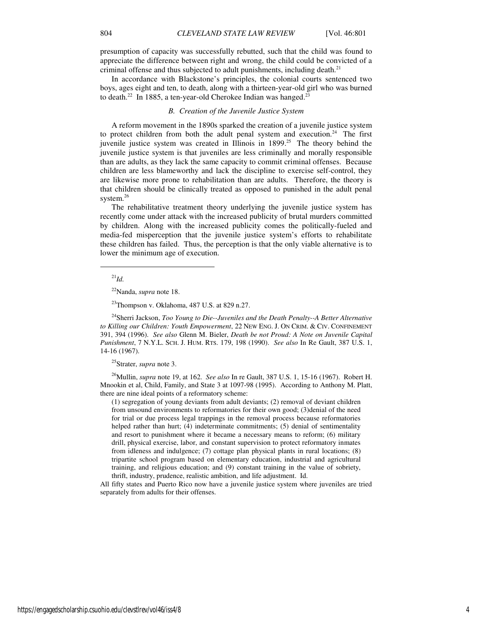presumption of capacity was successfully rebutted, such that the child was found to appreciate the difference between right and wrong, the child could be convicted of a criminal offense and thus subjected to adult punishments, including death.<sup>21</sup>

In accordance with Blackstone's principles, the colonial courts sentenced two boys, ages eight and ten, to death, along with a thirteen-year-old girl who was burned to death.<sup>22</sup> In 1885, a ten-year-old Cherokee Indian was hanged.<sup>23</sup>

# *B. Creation of the Juvenile Justice System*

A reform movement in the 1890s sparked the creation of a juvenile justice system to protect children from both the adult penal system and execution.<sup>24</sup> The first juvenile justice system was created in Illinois in  $1899$ <sup>25</sup> The theory behind the juvenile justice system is that juveniles are less criminally and morally responsible than are adults, as they lack the same capacity to commit criminal offenses. Because children are less blameworthy and lack the discipline to exercise self-control, they are likewise more prone to rehabilitation than are adults. Therefore, the theory is that children should be clinically treated as opposed to punished in the adult penal system.<sup>26</sup>

The rehabilitative treatment theory underlying the juvenile justice system has recently come under attack with the increased publicity of brutal murders committed by children. Along with the increased publicity comes the politically-fueled and media-fed misperception that the juvenile justice system's efforts to rehabilitate these children has failed. Thus, the perception is that the only viable alternative is to lower the minimum age of execution.

<sup>21</sup>*Id.*

j

<sup>24</sup>Sherri Jackson, *Too Young to Die--Juveniles and the Death Penalty--A Better Alternative to Killing our Children: Youth Empowerment*, 22 NEW ENG. J. ON CRIM. & CIV. CONFINEMENT 391, 394 (1996). *See also* Glenn M. Bieler, *Death be not Proud: A Note on Juvenile Capital Punishment*, 7 N.Y.L. SCH. J. HUM. RTS. 179, 198 (1990). *See also* In Re Gault, 387 U.S. 1, 14-16 (1967).

<sup>25</sup>Strater, *supra* note 3.

<sup>26</sup>Mullin, *supra* note 19, at 162. *See also* In re Gault, 387 U.S. 1, 15-16 (1967). Robert H. Mnookin et al, Child, Family, and State 3 at 1097-98 (1995). According to Anthony M. Platt, there are nine ideal points of a reformatory scheme:

(1) segregation of young deviants from adult deviants; (2) removal of deviant children from unsound environments to reformatories for their own good; (3)denial of the need for trial or due process legal trappings in the removal process because reformatories helped rather than hurt; (4) indeterminate commitments; (5) denial of sentimentality and resort to punishment where it became a necessary means to reform; (6) military drill, physical exercise, labor, and constant supervision to protect reformatory inmates from idleness and indulgence; (7) cottage plan physical plants in rural locations; (8) tripartite school program based on elementary education, industrial and agricultural training, and religious education; and (9) constant training in the value of sobriety, thrift, industry, prudence, realistic ambition, and life adjustment. Id.

All fifty states and Puerto Rico now have a juvenile justice system where juveniles are tried separately from adults for their offenses.

<sup>22</sup>Nanda, *supra* note 18.

 $^{23}$ Thompson v. Oklahoma, 487 U.S. at 829 n.27.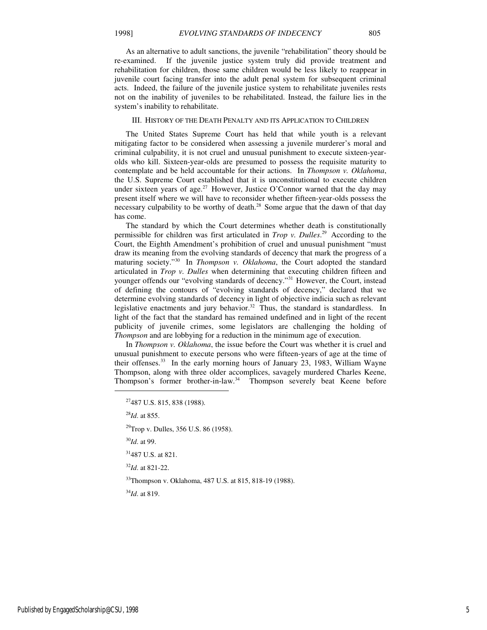As an alternative to adult sanctions, the juvenile "rehabilitation" theory should be re-examined. If the juvenile justice system truly did provide treatment and rehabilitation for children, those same children would be less likely to reappear in juvenile court facing transfer into the adult penal system for subsequent criminal acts. Indeed, the failure of the juvenile justice system to rehabilitate juveniles rests not on the inability of juveniles to be rehabilitated. Instead, the failure lies in the system's inability to rehabilitate.

#### III. HISTORY OF THE DEATH PENALTY AND ITS APPLICATION TO CHILDREN

The United States Supreme Court has held that while youth is a relevant mitigating factor to be considered when assessing a juvenile murderer's moral and criminal culpability, it is not cruel and unusual punishment to execute sixteen-yearolds who kill. Sixteen-year-olds are presumed to possess the requisite maturity to contemplate and be held accountable for their actions. In *Thompson v. Oklahoma*, the U.S. Supreme Court established that it is unconstitutional to execute children under sixteen years of age.<sup>27</sup> However, Justice O'Connor warned that the day may present itself where we will have to reconsider whether fifteen-year-olds possess the necessary culpability to be worthy of death.<sup>28</sup> Some argue that the dawn of that day has come.

The standard by which the Court determines whether death is constitutionally permissible for children was first articulated in *Trop v. Dulles*.<sup>29</sup> According to the Court, the Eighth Amendment's prohibition of cruel and unusual punishment "must draw its meaning from the evolving standards of decency that mark the progress of a maturing society."<sup>30</sup> In *Thompson v. Oklahoma*, the Court adopted the standard articulated in *Trop v. Dulles* when determining that executing children fifteen and younger offends our "evolving standards of decency."<sup>31</sup> However, the Court, instead of defining the contours of "evolving standards of decency," declared that we determine evolving standards of decency in light of objective indicia such as relevant legislative enactments and jury behavior.<sup>32</sup> Thus, the standard is standardless. In light of the fact that the standard has remained undefined and in light of the recent publicity of juvenile crimes, some legislators are challenging the holding of *Thompson* and are lobbying for a reduction in the minimum age of execution.

In *Thompson v. Oklahoma*, the issue before the Court was whether it is cruel and unusual punishment to execute persons who were fifteen-years of age at the time of their offenses.<sup>33</sup> In the early morning hours of January 23, 1983, William Wayne Thompson, along with three older accomplices, savagely murdered Charles Keene, Thompson's former brother-in-law. $34$  Thompson severely beat Keene before

<sup>28</sup>*Id*. at 855.

1

<sup>29</sup>Trop v. Dulles, 356 U.S. 86 (1958).

<sup>30</sup>*Id*. at 99.

<sup>31</sup>487 U.S. at 821.

<sup>32</sup>*Id*. at 821-22.

<sup>33</sup>Thompson v. Oklahoma, 487 U.S. at 815, 818-19 (1988).

<sup>34</sup>*Id*. at 819.

<sup>27</sup>487 U.S. 815, 838 (1988).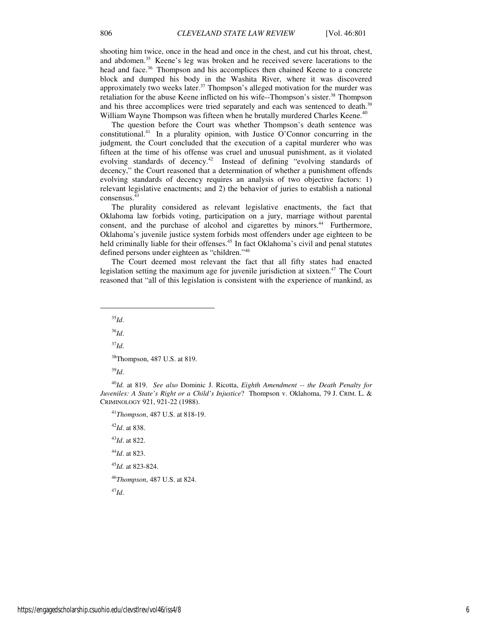shooting him twice, once in the head and once in the chest, and cut his throat, chest, and abdomen.<sup>35</sup> Keene's leg was broken and he received severe lacerations to the head and face.<sup>36</sup> Thompson and his accomplices then chained Keene to a concrete block and dumped his body in the Washita River, where it was discovered approximately two weeks later.<sup>37</sup> Thompson's alleged motivation for the murder was retaliation for the abuse Keene inflicted on his wife--Thompson's sister.<sup>38</sup> Thompson and his three accomplices were tried separately and each was sentenced to death.<sup>39</sup> William Wayne Thompson was fifteen when he brutally murdered Charles Keene.<sup>40</sup>

The question before the Court was whether Thompson's death sentence was constitutional.<sup>41</sup> In a plurality opinion, with Justice O'Connor concurring in the judgment, the Court concluded that the execution of a capital murderer who was fifteen at the time of his offense was cruel and unusual punishment, as it violated evolving standards of decency.<sup>42</sup> Instead of defining "evolving standards of decency," the Court reasoned that a determination of whether a punishment offends evolving standards of decency requires an analysis of two objective factors: 1) relevant legislative enactments; and 2) the behavior of juries to establish a national consensus.<sup>43</sup>

The plurality considered as relevant legislative enactments, the fact that Oklahoma law forbids voting, participation on a jury, marriage without parental consent, and the purchase of alcohol and cigarettes by minors.<sup>44</sup> Furthermore, Oklahoma's juvenile justice system forbids most offenders under age eighteen to be held criminally liable for their offenses.<sup>45</sup> In fact Oklahoma's civil and penal statutes defined persons under eighteen as "children."<sup>46</sup>

The Court deemed most relevant the fact that all fifty states had enacted legislation setting the maximum age for juvenile jurisdiction at sixteen. $47$  The Court reasoned that "all of this legislation is consistent with the experience of mankind, as

<sup>35</sup>*Id*.

1

<sup>36</sup>*Id*.

<sup>37</sup>*Id*.

<sup>38</sup>Thompson, 487 U.S. at 819.

<sup>39</sup>*Id*.

<sup>40</sup>*Id.* at 819. *See also* Dominic J. Ricotta, *Eighth Amendment -- the Death Penalty for Juveniles: A State's Right or a Child's Injustice*? Thompson v. Oklahoma, 79 J. CRIM. L. & CRIMINOLOGY 921, 921-22 (1988).

<sup>41</sup>*Thompson*, 487 U.S. at 818-19.

<sup>42</sup>*Id*. at 838.

<sup>43</sup>*Id*. at 822.

<sup>44</sup>*Id*. at 823.

<sup>45</sup>*Id.* at 823-824.

<sup>46</sup>*Thompson*, 487 U.S. at 824.

<sup>47</sup>*Id*.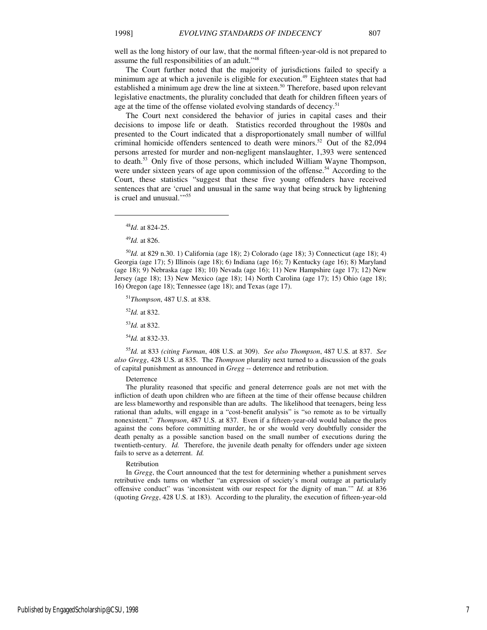well as the long history of our law, that the normal fifteen-year-old is not prepared to assume the full responsibilities of an adult."<sup>48</sup>

The Court further noted that the majority of jurisdictions failed to specify a minimum age at which a juvenile is eligible for execution.<sup>49</sup> Eighteen states that had established a minimum age drew the line at sixteen.<sup>50</sup> Therefore, based upon relevant legislative enactments, the plurality concluded that death for children fifteen years of age at the time of the offense violated evolving standards of decency.<sup>51</sup>

The Court next considered the behavior of juries in capital cases and their decisions to impose life or death. Statistics recorded throughout the 1980s and presented to the Court indicated that a disproportionately small number of willful criminal homicide offenders sentenced to death were minors.<sup>52</sup> Out of the 82,094 persons arrested for murder and non-negligent manslaughter, 1,393 were sentenced to death.<sup>53</sup> Only five of those persons, which included William Wayne Thompson, were under sixteen years of age upon commission of the offense.<sup>54</sup> According to the Court, these statistics "suggest that these five young offenders have received sentences that are 'cruel and unusual in the same way that being struck by lightening is cruel and unusual."<sup>55</sup>

 $\overline{a}$ 

<sup>50</sup>*Id.* at 829 n.30. 1) California (age 18); 2) Colorado (age 18); 3) Connecticut (age 18); 4) Georgia (age 17); 5) Illinois (age 18); 6) Indiana (age 16); 7) Kentucky (age 16); 8) Maryland (age 18); 9) Nebraska (age 18); 10) Nevada (age 16); 11) New Hampshire (age 17); 12) New Jersey (age 18); 13) New Mexico (age 18); 14) North Carolina (age 17); 15) Ohio (age 18); 16) Oregon (age 18); Tennessee (age 18); and Texas (age 17).

<sup>51</sup>*Thompson*, 487 U.S. at 838.

<sup>52</sup>*Id.* at 832.

<sup>53</sup>*Id.* at 832.

<sup>54</sup>*Id.* at 832-33.

<sup>55</sup>*Id.* at 833 *(citing Furman*, 408 U.S. at 309). *See also Thompson*, 487 U.S. at 837. *See also Gregg*, 428 U.S. at 835. The *Thompson* plurality next turned to a discussion of the goals of capital punishment as announced in *Gregg* -- deterrence and retribution.

Deterrence

The plurality reasoned that specific and general deterrence goals are not met with the infliction of death upon children who are fifteen at the time of their offense because children are less blameworthy and responsible than are adults. The likelihood that teenagers, being less rational than adults, will engage in a "cost-benefit analysis" is "so remote as to be virtually nonexistent." *Thompson*, 487 U.S. at 837. Even if a fifteen-year-old would balance the pros against the cons before committing murder, he or she would very doubtfully consider the death penalty as a possible sanction based on the small number of executions during the twentieth-century. *Id.* Therefore, the juvenile death penalty for offenders under age sixteen fails to serve as a deterrent. *Id.*

#### Retribution

In *Gregg*, the Court announced that the test for determining whether a punishment serves retributive ends turns on whether "an expression of society's moral outrage at particularly offensive conduct" was 'inconsistent with our respect for the dignity of man.'" *Id.* at 836 (quoting *Gregg*, 428 U.S. at 183). According to the plurality, the execution of fifteen-year-old

<sup>48</sup>*Id*. at 824-25.

<sup>49</sup>*Id.* at 826.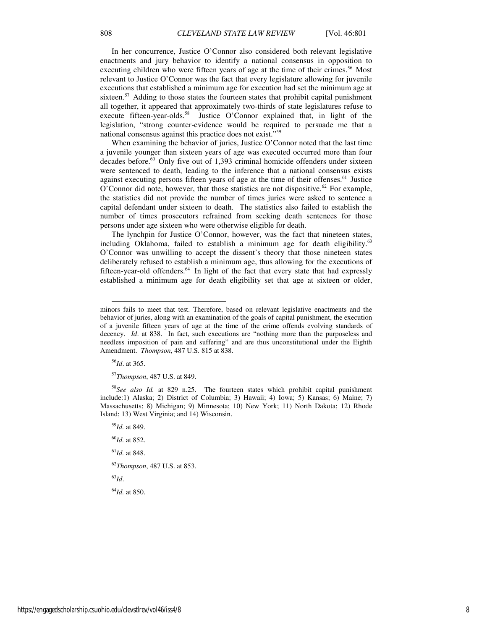enactments and jury behavior to identify a national consensus in opposition to executing children who were fifteen years of age at the time of their crimes.<sup>56</sup> Most relevant to Justice O'Connor was the fact that every legislature allowing for juvenile executions that established a minimum age for execution had set the minimum age at sixteen.<sup>57</sup> Adding to those states the fourteen states that prohibit capital punishment all together, it appeared that approximately two-thirds of state legislatures refuse to execute fifteen-year-olds.<sup>58</sup> Justice O'Connor explained that, in light of the legislation, "strong counter-evidence would be required to persuade me that a national consensus against this practice does not exist."<sup>59</sup>

When examining the behavior of juries, Justice O'Connor noted that the last time a juvenile younger than sixteen years of age was executed occurred more than four decades before. $\overline{60}$  Only five out of 1,393 criminal homicide offenders under sixteen were sentenced to death, leading to the inference that a national consensus exists against executing persons fifteen years of age at the time of their offenses.<sup>61</sup> Justice O'Connor did note, however, that those statistics are not dispositive.<sup>62</sup> For example, the statistics did not provide the number of times juries were asked to sentence a capital defendant under sixteen to death. The statistics also failed to establish the number of times prosecutors refrained from seeking death sentences for those persons under age sixteen who were otherwise eligible for death.

The lynchpin for Justice O'Connor, however, was the fact that nineteen states, including Oklahoma, failed to establish a minimum age for death eligibility.<sup>63</sup> O'Connor was unwilling to accept the dissent's theory that those nineteen states deliberately refused to establish a minimum age, thus allowing for the executions of fifteen-year-old offenders.<sup>64</sup> In light of the fact that every state that had expressly established a minimum age for death eligibility set that age at sixteen or older,

<sup>56</sup>*Id*. at 365.

l

<sup>58</sup>*See also Id.* at 829 n.25. The fourteen states which prohibit capital punishment include:1) Alaska; 2) District of Columbia; 3) Hawaii; 4) Iowa; 5) Kansas; 6) Maine; 7) Massachusetts; 8) Michigan; 9) Minnesota; 10) New York; 11) North Dakota; 12) Rhode Island; 13) West Virginia; and 14) Wisconsin.

<sup>59</sup>*Id.* at 849.

<sup>60</sup>*Id.* at 852.

<sup>61</sup>*Id.* at 848.

<sup>62</sup>*Thompson*, 487 U.S. at 853.

<sup>63</sup>*Id*.

<sup>64</sup>*Id.* at 850.

minors fails to meet that test. Therefore, based on relevant legislative enactments and the behavior of juries, along with an examination of the goals of capital punishment, the execution of a juvenile fifteen years of age at the time of the crime offends evolving standards of decency. *Id*. at 838. In fact, such executions are "nothing more than the purposeless and needless imposition of pain and suffering" and are thus unconstitutional under the Eighth Amendment. *Thompson*, 487 U.S. 815 at 838.

<sup>57</sup>*Thompson*, 487 U.S. at 849.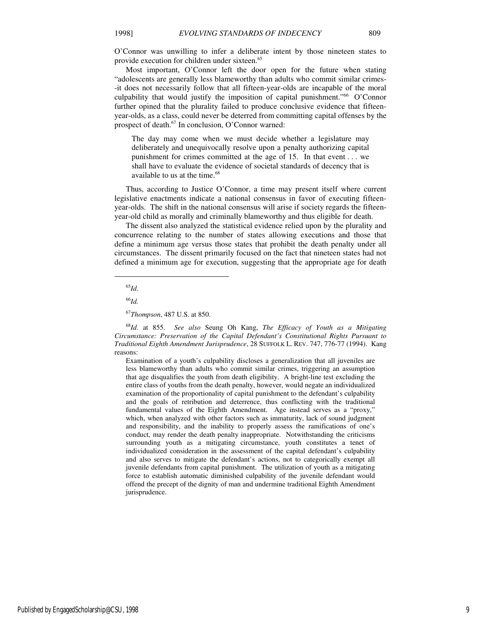O'Connor was unwilling to infer a deliberate intent by those nineteen states to provide execution for children under sixteen.<sup>65</sup>

Most important, O'Connor left the door open for the future when stating "adolescents are generally less blameworthy than adults who commit similar crimes- -it does not necessarily follow that all fifteen-year-olds are incapable of the moral culpability that would justify the imposition of capital punishment." $66$  O'Connor further opined that the plurality failed to produce conclusive evidence that fifteenyear-olds, as a class, could never be deterred from committing capital offenses by the prospect of death. $67$  In conclusion, O'Connor warned:

The day may come when we must decide whether a legislature may deliberately and unequivocally resolve upon a penalty authorizing capital punishment for crimes committed at the age of 15. In that event . . . we shall have to evaluate the evidence of societal standards of decency that is available to us at the time.<sup>68</sup>

Thus, according to Justice O'Connor, a time may present itself where current legislative enactments indicate a national consensus in favor of executing fifteenyear-olds. The shift in the national consensus will arise if society regards the fifteenyear-old child as morally and criminally blameworthy and thus eligible for death.

The dissent also analyzed the statistical evidence relied upon by the plurality and concurrence relating to the number of states allowing executions and those that define a minimum age versus those states that prohibit the death penalty under all circumstances. The dissent primarily focused on the fact that nineteen states had not defined a minimum age for execution, suggesting that the appropriate age for death

1

<sup>68</sup>*Id*. at 855. *See also* Seung Oh Kang, *The Efficacy of Youth as a Mitigating Circumstance: Preservation of the Capital Defendant's Constitutional Rights Pursuant to Traditional Eighth Amendment Jurisprudence*, 28 SUFFOLK L. REV. 747, 776-77 (1994). Kang reasons:

Examination of a youth's culpability discloses a generalization that all juveniles are less blameworthy than adults who commit similar crimes, triggering an assumption that age disqualifies the youth from death eligibility. A bright-line test excluding the entire class of youths from the death penalty, however, would negate an individualized examination of the proportionality of capital punishment to the defendant's culpability and the goals of retribution and deterrence, thus conflicting with the traditional fundamental values of the Eighth Amendment. Age instead serves as a "proxy," which, when analyzed with other factors such as immaturity, lack of sound judgment and responsibility, and the inability to properly assess the ramifications of one's conduct, may render the death penalty inappropriate. Notwithstanding the criticisms surrounding youth as a mitigating circumstance, youth constitutes a tenet of individualized consideration in the assessment of the capital defendant's culpability and also serves to mitigate the defendant's actions, not to categorically exempt all juvenile defendants from capital punishment. The utilization of youth as a mitigating force to establish automatic diminished culpability of the juvenile defendant would offend the precept of the dignity of man and undermine traditional Eighth Amendment jurisprudence.

<sup>65</sup>*Id*.

<sup>66</sup>*Id.*

<sup>67</sup>*Thompson*, 487 U.S. at 850.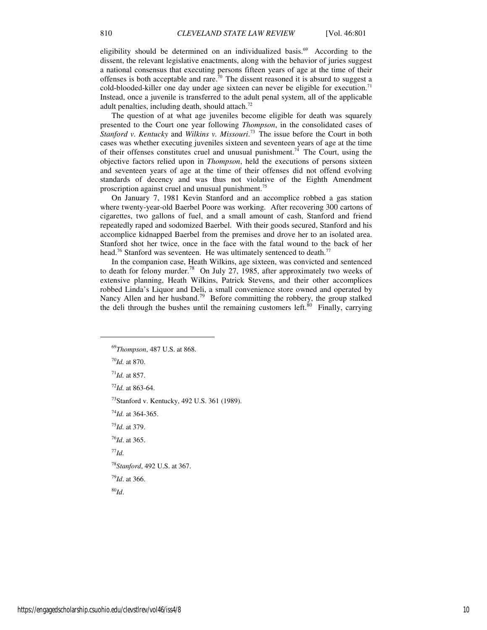eligibility should be determined on an individualized basis.<sup>69</sup> According to the dissent, the relevant legislative enactments, along with the behavior of juries suggest a national consensus that executing persons fifteen years of age at the time of their offenses is both acceptable and rare.<sup>70</sup> The dissent reasoned it is absurd to suggest a cold-blooded-killer one day under age sixteen can never be eligible for execution.<sup>71</sup> Instead, once a juvenile is transferred to the adult penal system, all of the applicable adult penalties, including death, should attach.<sup>72</sup>

The question of at what age juveniles become eligible for death was squarely presented to the Court one year following *Thompson*, in the consolidated cases of *Stanford v. Kentucky* and *Wilkins v. Missouri*.<sup>73</sup> The issue before the Court in both cases was whether executing juveniles sixteen and seventeen years of age at the time of their offenses constitutes cruel and unusual punishment.<sup>74</sup> The Court, using the objective factors relied upon in *Thompson*, held the executions of persons sixteen and seventeen years of age at the time of their offenses did not offend evolving standards of decency and was thus not violative of the Eighth Amendment proscription against cruel and unusual punishment.<sup>75</sup>

On January 7, 1981 Kevin Stanford and an accomplice robbed a gas station where twenty-year-old Baerbel Poore was working. After recovering 300 cartons of cigarettes, two gallons of fuel, and a small amount of cash, Stanford and friend repeatedly raped and sodomized Baerbel. With their goods secured, Stanford and his accomplice kidnapped Baerbel from the premises and drove her to an isolated area. Stanford shot her twice, once in the face with the fatal wound to the back of her head.<sup>76</sup> Stanford was seventeen. He was ultimately sentenced to death.<sup>77</sup>

In the companion case, Heath Wilkins, age sixteen, was convicted and sentenced to death for felony murder.<sup>78</sup> On July 27, 1985, after approximately two weeks of extensive planning, Heath Wilkins, Patrick Stevens, and their other accomplices robbed Linda's Liquor and Deli, a small convenience store owned and operated by Nancy Allen and her husband.<sup>79</sup> Before committing the robbery, the group stalked the deli through the bushes until the remaining customers left. $\frac{80}{10}$  Finally, carrying

<sup>70</sup>*Id.* at 870.

1

<sup>71</sup>*Id.* at 857.

<sup>72</sup>*Id.* at 863-64.

<sup>73</sup>Stanford v. Kentucky, 492 U.S. 361 (1989).

<sup>74</sup>*Id.* at 364-365.

<sup>75</sup>*Id.* at 379.

<sup>76</sup>*Id*. at 365.

<sup>77</sup>*Id.* 

<sup>78</sup>*Stanford*, 492 U.S. at 367.

<sup>79</sup>*Id*. at 366.

<sup>80</sup>*Id*.

<sup>69</sup>*Thompson*, 487 U.S. at 868.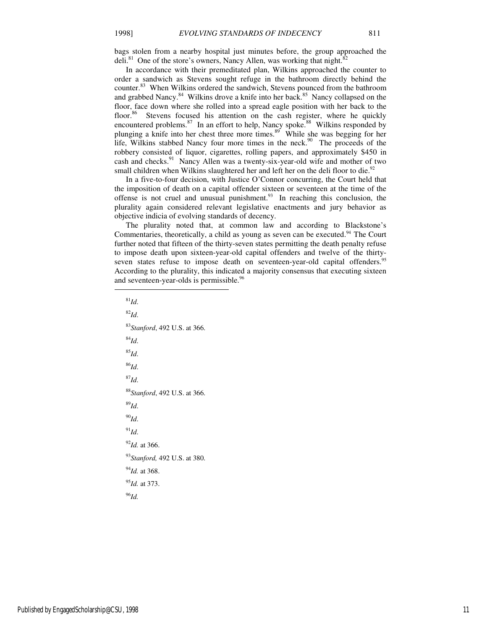bags stolen from a nearby hospital just minutes before, the group approached the deli.<sup>81</sup> One of the store's owners, Nancy Allen, was working that night.<sup>8</sup>

In accordance with their premeditated plan, Wilkins approached the counter to order a sandwich as Stevens sought refuge in the bathroom directly behind the counter.<sup>83</sup> When Wilkins ordered the sandwich, Stevens pounced from the bathroom and grabbed Nancy.<sup>84</sup> Wilkins drove a knife into her back.<sup>85</sup> Nancy collapsed on the floor, face down where she rolled into a spread eagle position with her back to the floor.<sup>86</sup> Stevens focused his attention on the cash register, where he quickly encountered problems.<sup>87</sup> In an effort to help, Nancy spoke.<sup>88</sup> Wilkins responded by plunging a knife into her chest three more times.<sup>89</sup> While she was begging for her life, Wilkins stabbed Nancy four more times in the neck.<sup>90</sup> The proceeds of the robbery consisted of liquor, cigarettes, rolling papers, and approximately \$450 in cash and checks.<sup>91</sup> Nancy Allen was a twenty-six-year-old wife and mother of two small children when Wilkins slaughtered her and left her on the deli floor to die.<sup>92</sup>

In a five-to-four decision, with Justice O'Connor concurring, the Court held that the imposition of death on a capital offender sixteen or seventeen at the time of the offense is not cruel and unusual punishment. $93$  In reaching this conclusion, the plurality again considered relevant legislative enactments and jury behavior as objective indicia of evolving standards of decency.

The plurality noted that, at common law and according to Blackstone's Commentaries, theoretically, a child as young as seven can be executed.<sup>94</sup> The Court further noted that fifteen of the thirty-seven states permitting the death penalty refuse to impose death upon sixteen-year-old capital offenders and twelve of the thirtyseven states refuse to impose death on seventeen-year-old capital offenders.<sup>95</sup> According to the plurality, this indicated a majority consensus that executing sixteen and seventeen-year-olds is permissible.<sup>96</sup>

<sup>81</sup>*Id*. <sup>82</sup>*Id*. <sup>83</sup>*Stanford*, 492 U.S. at 366. <sup>84</sup>*Id*. <sup>85</sup>*Id*. <sup>86</sup>*Id*. <sup>87</sup>*Id*. <sup>88</sup>*Stanford*, 492 U.S. at 366. <sup>89</sup>*Id*. <sup>90</sup>*Id*.  $^{91}$ *Id*. <sup>92</sup>*Id.* at 366. <sup>93</sup>*Stanford,* 492 U.S. at 380. <sup>94</sup>*Id.* at 368. <sup>95</sup>*Id.* at 373. <sup>96</sup>*Id.*

Published by EngagedScholarship@CSU, 1998 11

j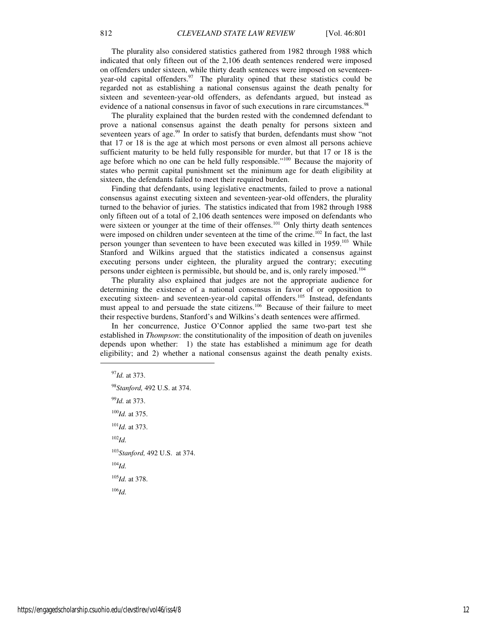The plurality also considered statistics gathered from 1982 through 1988 which indicated that only fifteen out of the 2,106 death sentences rendered were imposed on offenders under sixteen, while thirty death sentences were imposed on seventeenyear-old capital offenders. $97$  The plurality opined that these statistics could be regarded not as establishing a national consensus against the death penalty for sixteen and seventeen-year-old offenders, as defendants argued, but instead as evidence of a national consensus in favor of such executions in rare circumstances.<sup>98</sup>

The plurality explained that the burden rested with the condemned defendant to prove a national consensus against the death penalty for persons sixteen and seventeen years of age. $99$  In order to satisfy that burden, defendants must show "not that 17 or 18 is the age at which most persons or even almost all persons achieve sufficient maturity to be held fully responsible for murder, but that 17 or 18 is the age before which no one can be held fully responsible."<sup>100</sup> Because the majority of states who permit capital punishment set the minimum age for death eligibility at sixteen, the defendants failed to meet their required burden.

Finding that defendants, using legislative enactments, failed to prove a national consensus against executing sixteen and seventeen-year-old offenders, the plurality turned to the behavior of juries. The statistics indicated that from 1982 through 1988 only fifteen out of a total of 2,106 death sentences were imposed on defendants who were sixteen or younger at the time of their offenses.<sup>101</sup> Only thirty death sentences were imposed on children under seventeen at the time of the crime.<sup>102</sup> In fact, the last person younger than seventeen to have been executed was killed in 1959.<sup>103</sup> While Stanford and Wilkins argued that the statistics indicated a consensus against executing persons under eighteen, the plurality argued the contrary; executing persons under eighteen is permissible, but should be, and is, only rarely imposed.<sup>104</sup>

The plurality also explained that judges are not the appropriate audience for determining the existence of a national consensus in favor of or opposition to executing sixteen- and seventeen-year-old capital offenders.<sup>105</sup> Instead, defendants must appeal to and persuade the state citizens.<sup>106</sup> Because of their failure to meet their respective burdens, Stanford's and Wilkins's death sentences were affirmed.

In her concurrence, Justice O'Connor applied the same two-part test she established in *Thompson*: the constitutionality of the imposition of death on juveniles depends upon whether: 1) the state has established a minimum age for death eligibility; and 2) whether a national consensus against the death penalty exists.

*Id.* at 373. *Stanford,* 492 U.S. at 374. *Id.* at 373. *Id.* at 375. *Id.* at 373. <sup>102</sup>*Id. Stanford,* 492 U.S.at 374. <sup>104</sup>*Id. Id.* at 378. <sup>106</sup>*Id.*

 $\overline{a}$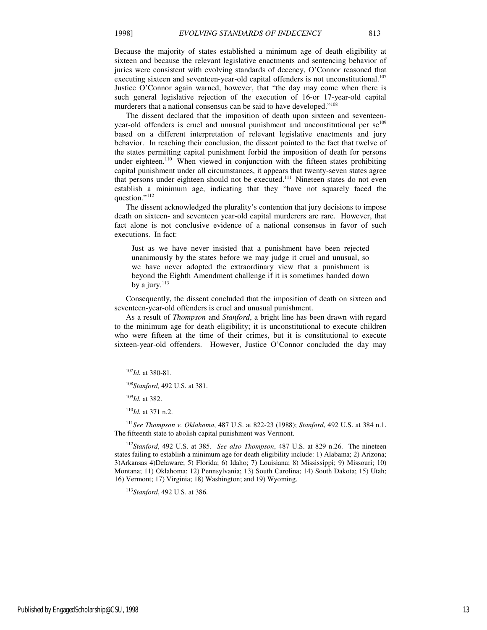Because the majority of states established a minimum age of death eligibility at sixteen and because the relevant legislative enactments and sentencing behavior of juries were consistent with evolving standards of decency, O'Connor reasoned that executing sixteen and seventeen-year-old capital offenders is not unconstitutional.<sup>107</sup> Justice O'Connor again warned, however, that "the day may come when there is such general legislative rejection of the execution of 16-or 17-year-old capital murderers that a national consensus can be said to have developed."<sup>108</sup>

The dissent declared that the imposition of death upon sixteen and seventeenyear-old offenders is cruel and unusual punishment and unconstitutional per  $se^{109}$ based on a different interpretation of relevant legislative enactments and jury behavior. In reaching their conclusion, the dissent pointed to the fact that twelve of the states permitting capital punishment forbid the imposition of death for persons under eighteen.<sup>110</sup> When viewed in conjunction with the fifteen states prohibiting capital punishment under all circumstances, it appears that twenty-seven states agree that persons under eighteen should not be executed.<sup>111</sup> Nineteen states do not even establish a minimum age, indicating that they "have not squarely faced the question."<sup>112</sup>

The dissent acknowledged the plurality's contention that jury decisions to impose death on sixteen- and seventeen year-old capital murderers are rare. However, that fact alone is not conclusive evidence of a national consensus in favor of such executions. In fact:

Just as we have never insisted that a punishment have been rejected unanimously by the states before we may judge it cruel and unusual, so we have never adopted the extraordinary view that a punishment is beyond the Eighth Amendment challenge if it is sometimes handed down by a jury.<sup>113</sup>

Consequently, the dissent concluded that the imposition of death on sixteen and seventeen-year-old offenders is cruel and unusual punishment.

As a result of *Thompson* and *Stanford*, a bright line has been drawn with regard to the minimum age for death eligibility; it is unconstitutional to execute children who were fifteen at the time of their crimes, but it is constitutional to execute sixteen-year-old offenders. However, Justice O'Connor concluded the day may

<sup>109</sup>*Id.* at 382.

 $\overline{a}$ 

<sup>110</sup>*Id.* at 371 n.2.

<sup>111</sup>*See Thompson v. Oklahoma*, 487 U.S. at 822-23 (1988); *Stanford*, 492 U.S. at 384 n.1. The fifteenth state to abolish capital punishment was Vermont.

<sup>112</sup>*Stanford*, 492 U.S. at 385. *See also Thompson*, 487 U.S. at 829 n.26. The nineteen states failing to establish a minimum age for death eligibility include: 1) Alabama; 2) Arizona; 3)Arkansas 4)Delaware; 5) Florida; 6) Idaho; 7) Louisiana; 8) Mississippi; 9) Missouri; 10) Montana; 11) Oklahoma; 12) Pennsylvania; 13) South Carolina; 14) South Dakota; 15) Utah; 16) Vermont; 17) Virginia; 18) Washington; and 19) Wyoming.

<sup>113</sup>*Stanford*, 492 U.S. at 386.

<sup>107</sup>*Id.* at 380-81.

<sup>108</sup>*Stanford,* 492 U.S*.* at 381.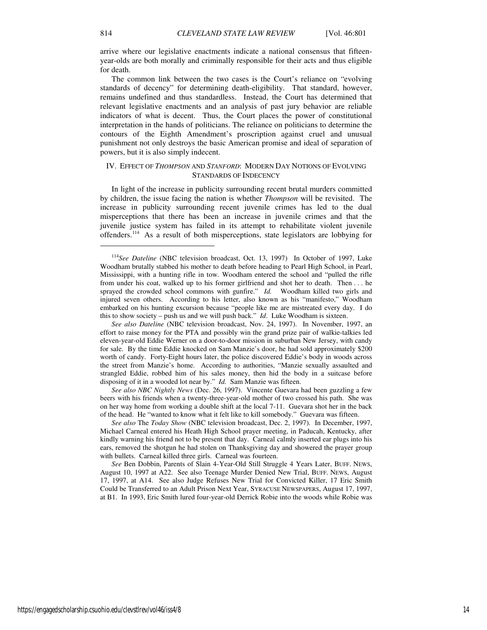arrive where our legislative enactments indicate a national consensus that fifteenyear-olds are both morally and criminally responsible for their acts and thus eligible for death.

The common link between the two cases is the Court's reliance on "evolving standards of decency" for determining death-eligibility. That standard, however, remains undefined and thus standardless. Instead, the Court has determined that relevant legislative enactments and an analysis of past jury behavior are reliable indicators of what is decent. Thus, the Court places the power of constitutional interpretation in the hands of politicians. The reliance on politicians to determine the contours of the Eighth Amendment's proscription against cruel and unusual punishment not only destroys the basic American promise and ideal of separation of powers, but it is also simply indecent.

# IV. EFFECT OF *THOMPSON* AND *STANFORD*: MODERN DAY NOTIONS OF EVOLVING STANDARDS OF INDECENCY

In light of the increase in publicity surrounding recent brutal murders committed by children, the issue facing the nation is whether *Thompson* will be revisited. The increase in publicity surrounding recent juvenile crimes has led to the dual misperceptions that there has been an increase in juvenile crimes and that the juvenile justice system has failed in its attempt to rehabilitate violent juvenile offenders.<sup>114</sup> As a result of both misperceptions, state legislators are lobbying for

*See also Dateline* (NBC television broadcast, Nov. 24, 1997). In November, 1997, an effort to raise money for the PTA and possibly win the grand prize pair of walkie-talkies led eleven-year-old Eddie Werner on a door-to-door mission in suburban New Jersey, with candy for sale. By the time Eddie knocked on Sam Manzie's door, he had sold approximately \$200 worth of candy. Forty-Eight hours later, the police discovered Eddie's body in woods across the street from Manzie's home. According to authorities, "Manzie sexually assaulted and strangled Eddie, robbed him of his sales money, then hid the body in a suitcase before disposing of it in a wooded lot near by." *Id.* Sam Manzie was fifteen.

*See also NBC Nightly News* (Dec. 26, 1997). Vincente Guevara had been guzzling a few beers with his friends when a twenty-three-year-old mother of two crossed his path. She was on her way home from working a double shift at the local 7-11. Guevara shot her in the back of the head. He "wanted to know what it felt like to kill somebody." Guevara was fifteen.

*See also* The *Today Show* (NBC television broadcast, Dec. 2, 1997). In December, 1997, Michael Carneal entered his Heath High School prayer meeting, in Paducah, Kentucky, after kindly warning his friend not to be present that day. Carneal calmly inserted ear plugs into his ears, removed the shotgun he had stolen on Thanksgiving day and showered the prayer group with bullets. Carneal killed three girls. Carneal was fourteen.

*See* Ben Dobbin, Parents of Slain 4-Year-Old Still Struggle 4 Years Later, BUFF. NEWS, August 10, 1997 at A22. See also Teenage Murder Denied New Trial, BUFF. NEWS, August 17, 1997, at A14. See also Judge Refuses New Trial for Convicted Killer, 17 Eric Smith Could be Transferred to an Adult Prison Next Year, SYRACUSE NEWSPAPERS, August 17, 1997, at B1. In 1993, Eric Smith lured four-year-old Derrick Robie into the woods while Robie was

 $\overline{a}$ 

<sup>114</sup>*See Dateline* (NBC television broadcast, Oct. 13, 1997) In October of 1997, Luke Woodham brutally stabbed his mother to death before heading to Pearl High School, in Pearl, Mississippi, with a hunting rifle in tow. Woodham entered the school and "pulled the rifle from under his coat, walked up to his former girlfriend and shot her to death. Then . . . he sprayed the crowded school commons with gunfire." *Id.* Woodham killed two girls and injured seven others. According to his letter, also known as his "manifesto," Woodham embarked on his hunting excursion because "people like me are mistreated every day. I do this to show society – push us and we will push back." *Id*. Luke Woodham is sixteen.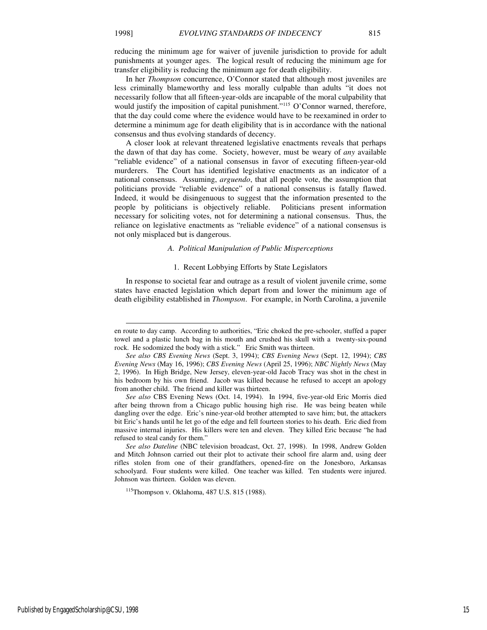-

reducing the minimum age for waiver of juvenile jurisdiction to provide for adult punishments at younger ages. The logical result of reducing the minimum age for transfer eligibility is reducing the minimum age for death eligibility.

In her *Thompson* concurrence, O'Connor stated that although most juveniles are less criminally blameworthy and less morally culpable than adults "it does not necessarily follow that all fifteen-year-olds are incapable of the moral culpability that would justify the imposition of capital punishment."<sup>115</sup> O'Connor warned, therefore, that the day could come where the evidence would have to be reexamined in order to determine a minimum age for death eligibility that is in accordance with the national consensus and thus evolving standards of decency.

A closer look at relevant threatened legislative enactments reveals that perhaps the dawn of that day has come. Society, however, must be weary of *any* available "reliable evidence" of a national consensus in favor of executing fifteen-year-old murderers. The Court has identified legislative enactments as an indicator of a national consensus. Assuming, *arguendo*, that all people vote, the assumption that politicians provide "reliable evidence" of a national consensus is fatally flawed. Indeed, it would be disingenuous to suggest that the information presented to the people by politicians is objectively reliable. Politicians present information necessary for soliciting votes, not for determining a national consensus. Thus, the reliance on legislative enactments as "reliable evidence" of a national consensus is not only misplaced but is dangerous.

# *A. Political Manipulation of Public Misperceptions*

# 1. Recent Lobbying Efforts by State Legislators

In response to societal fear and outrage as a result of violent juvenile crime, some states have enacted legislation which depart from and lower the minimum age of death eligibility established in *Thompson*. For example, in North Carolina, a juvenile

en route to day camp. According to authorities, "Eric choked the pre-schooler, stuffed a paper towel and a plastic lunch bag in his mouth and crushed his skull with a twenty-six-pound rock. He sodomized the body with a stick." Eric Smith was thirteen.

*See also CBS Evening News* (Sept. 3, 1994); *CBS Evening News* (Sept. 12, 1994); *CBS Evening News* (May 16, 1996); *CBS Evening News* (April 25, 1996); *NBC Nightly News* (May 2, 1996). In High Bridge, New Jersey, eleven-year-old Jacob Tracy was shot in the chest in his bedroom by his own friend. Jacob was killed because he refused to accept an apology from another child. The friend and killer was thirteen.

*See also* CBS Evening News (Oct. 14, 1994). In 1994, five-year-old Eric Morris died after being thrown from a Chicago public housing high rise. He was being beaten while dangling over the edge. Eric's nine-year-old brother attempted to save him; but, the attackers bit Eric's hands until he let go of the edge and fell fourteen stories to his death. Eric died from massive internal injuries. His killers were ten and eleven. They killed Eric because "he had refused to steal candy for them."

*See also Dateline* (NBC television broadcast, Oct. 27, 1998). In 1998, Andrew Golden and Mitch Johnson carried out their plot to activate their school fire alarm and, using deer rifles stolen from one of their grandfathers, opened-fire on the Jonesboro, Arkansas schoolyard. Four students were killed. One teacher was killed. Ten students were injured. Johnson was thirteen. Golden was eleven.

<sup>115</sup>Thompson v. Oklahoma, 487 U.S. 815 (1988).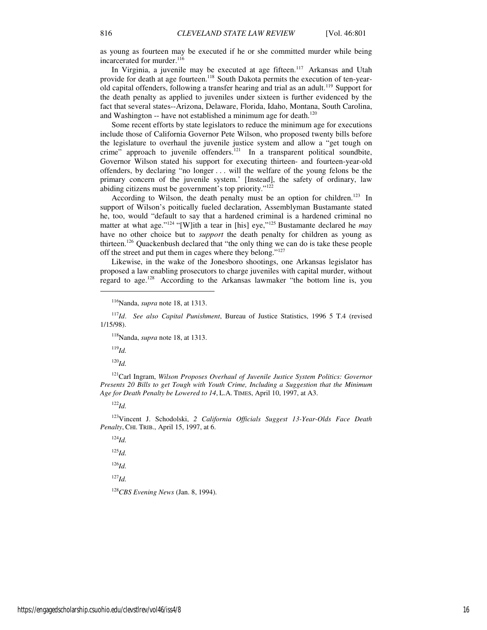as young as fourteen may be executed if he or she committed murder while being incarcerated for murder.<sup>116</sup>

In Virginia, a juvenile may be executed at age fifteen.<sup>117</sup> Arkansas and Utah provide for death at age fourteen.<sup>118</sup> South Dakota permits the execution of ten-yearold capital offenders, following a transfer hearing and trial as an adult.<sup>119</sup> Support for the death penalty as applied to juveniles under sixteen is further evidenced by the fact that several states--Arizona, Delaware, Florida, Idaho, Montana, South Carolina, and Washington -- have not established a minimum age for death.<sup>120</sup>

Some recent efforts by state legislators to reduce the minimum age for executions include those of California Governor Pete Wilson, who proposed twenty bills before the legislature to overhaul the juvenile justice system and allow a "get tough on crime" approach to juvenile offenders.<sup>121</sup> In a transparent political soundbite, Governor Wilson stated his support for executing thirteen- and fourteen-year-old offenders, by declaring "no longer . . . will the welfare of the young felons be the primary concern of the juvenile system.' [Instead], the safety of ordinary, law abiding citizens must be government's top priority."<sup>122</sup>

According to Wilson, the death penalty must be an option for children.<sup>123</sup> In support of Wilson's poitically fueled declaration, Assemblyman Bustamante stated he, too, would "default to say that a hardened criminal is a hardened criminal no matter at what age."<sup>124</sup> "[W]ith a tear in [his] eye,"<sup>125</sup> Bustamante declared he *may* have no other choice but to *support* the death penalty for children as young as thirteen.<sup>126</sup> Quackenbush declared that "the only thing we can do is take these people off the street and put them in cages where they belong."<sup>127</sup>

Likewise, in the wake of the Jonesboro shootings, one Arkansas legislator has proposed a law enabling prosecutors to charge juveniles with capital murder, without regard to age.<sup>128</sup> According to the Arkansas lawmaker "the bottom line is, you

<sup>117</sup>*Id*. *See also Capital Punishment*, Bureau of Justice Statistics, 1996 5 T.4 (revised 1/15/98).

<sup>119</sup>*Id.*

 $\overline{a}$ 

<sup>120</sup>*Id.*

<sup>121</sup>Carl Ingram, *Wilson Proposes Overhaul of Juvenile Justice System Politics: Governor Presents 20 Bills to get Tough with Youth Crime, Including a Suggestion that the Minimum Age for Death Penalty be Lowered to 14*, L.A. TIMES, April 10, 1997, at A3.

<sup>122</sup>*Id.*

<sup>123</sup>Vincent J. Schodolski, *2 California Officials Suggest 13-Year-Olds Face Death Penalty*, CHI. TRIB., April 15, 1997, at 6.

<sup>124</sup>*Id.* <sup>125</sup>*Id.* <sup>126</sup>*Id.* <sup>127</sup>*Id.*

<sup>128</sup>*CBS Evening News* (Jan. 8, 1994).

<sup>116</sup>Nanda, *supra* note 18, at 1313.

<sup>118</sup>Nanda, *supra* note 18, at 1313.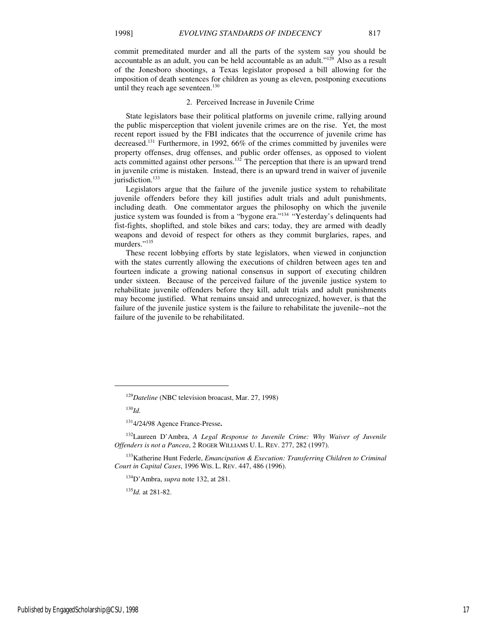commit premeditated murder and all the parts of the system say you should be accountable as an adult, you can be held accountable as an adult."<sup>129</sup> Also as a result of the Jonesboro shootings, a Texas legislator proposed a bill allowing for the imposition of death sentences for children as young as eleven, postponing executions until they reach age seventeen.<sup>130</sup>

# 2. Perceived Increase in Juvenile Crime

State legislators base their political platforms on juvenile crime, rallying around the public misperception that violent juvenile crimes are on the rise. Yet, the most recent report issued by the FBI indicates that the occurrence of juvenile crime has decreased.<sup>131</sup> Furthermore, in 1992,  $66\%$  of the crimes committed by juveniles were property offenses, drug offenses, and public order offenses, as opposed to violent acts committed against other persons.<sup>132</sup> The perception that there is an upward trend in juvenile crime is mistaken. Instead, there is an upward trend in waiver of juvenile jurisdiction.<sup>133</sup>

Legislators argue that the failure of the juvenile justice system to rehabilitate juvenile offenders before they kill justifies adult trials and adult punishments, including death. One commentator argues the philosophy on which the juvenile justice system was founded is from a "bygone era."<sup>134</sup> "Yesterday's delinquents had fist-fights, shoplifted, and stole bikes and cars; today, they are armed with deadly weapons and devoid of respect for others as they commit burglaries, rapes, and murders."<sup>135</sup>

These recent lobbying efforts by state legislators, when viewed in conjunction with the states currently allowing the executions of children between ages ten and fourteen indicate a growing national consensus in support of executing children under sixteen. Because of the perceived failure of the juvenile justice system to rehabilitate juvenile offenders before they kill, adult trials and adult punishments may become justified. What remains unsaid and unrecognized, however, is that the failure of the juvenile justice system is the failure to rehabilitate the juvenile--not the failure of the juvenile to be rehabilitated.

<sup>130</sup>*Id.*

j

<sup>132</sup>Laureen D'Ambra, *A Legal Response to Juvenile Crime: Why Waiver of Juvenile Offenders is not a Pancea*, 2 ROGER WILLIAMS U. L. REV. 277, 282 (1997).

<sup>135</sup>*Id.* at 281-82.

<sup>129</sup>*Dateline* (NBC television broacast, Mar. 27, 1998)

<sup>131</sup>4/24/98 Agence France-Presse**.**

<sup>133</sup>Katherine Hunt Federle, *Emancipation & Execution: Transferring Children to Criminal Court in Capital Cases*, 1996 WIS. L. REV. 447, 486 (1996).

<sup>134</sup>D'Ambra, *supra* note 132, at 281.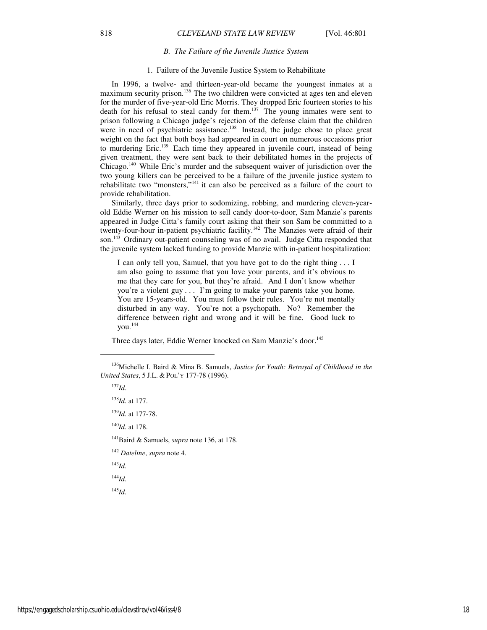#### *B. The Failure of the Juvenile Justice System*

# 1. Failure of the Juvenile Justice System to Rehabilitate

In 1996, a twelve- and thirteen-year-old became the youngest inmates at a maximum security prison.<sup>136</sup> The two children were convicted at ages ten and eleven for the murder of five-year-old Eric Morris. They dropped Eric fourteen stories to his death for his refusal to steal candy for them.<sup>137</sup> The young inmates were sent to prison following a Chicago judge's rejection of the defense claim that the children were in need of psychiatric assistance.<sup>138</sup> Instead, the judge chose to place great weight on the fact that both boys had appeared in court on numerous occasions prior to murdering Eric.<sup>139</sup> Each time they appeared in juvenile court, instead of being given treatment, they were sent back to their debilitated homes in the projects of Chicago.<sup>140</sup> While Eric's murder and the subsequent waiver of jurisdiction over the two young killers can be perceived to be a failure of the juvenile justice system to rehabilitate two "monsters,"<sup>141</sup> it can also be perceived as a failure of the court to provide rehabilitation.

Similarly, three days prior to sodomizing, robbing, and murdering eleven-yearold Eddie Werner on his mission to sell candy door-to-door, Sam Manzie's parents appeared in Judge Citta's family court asking that their son Sam be committed to a twenty-four-hour in-patient psychiatric facility.<sup>142</sup> The Manzies were afraid of their son.<sup>143</sup> Ordinary out-patient counseling was of no avail. Judge Citta responded that the juvenile system lacked funding to provide Manzie with in-patient hospitalization:

I can only tell you, Samuel, that you have got to do the right thing . . . I am also going to assume that you love your parents, and it's obvious to me that they care for you, but they're afraid. And I don't know whether you're a violent guy . . . I'm going to make your parents take you home. You are 15-years-old. You must follow their rules. You're not mentally disturbed in any way. You're not a psychopath. No? Remember the difference between right and wrong and it will be fine. Good luck to you.<sup>144</sup>

Three days later, Eddie Werner knocked on Sam Manzie's door.<sup>145</sup>

<sup>137</sup>*Id*. <sup>138</sup>*Id.* at 177.

j

<sup>139</sup>*Id.* at 177-78.

<sup>140</sup>*Id.* at 178.

<sup>141</sup>Baird & Samuels, *supra* note 136, at 178.

- <sup>142</sup> *Dateline*, *supra* note 4.
- <sup>143</sup>*Id.*

<sup>144</sup>*Id.*

<sup>145</sup>*Id.*

<sup>136</sup>Michelle I. Baird & Mina B. Samuels, *Justice for Youth: Betrayal of Childhood in the United States*, 5 J.L. & POL'Y 177-78 (1996).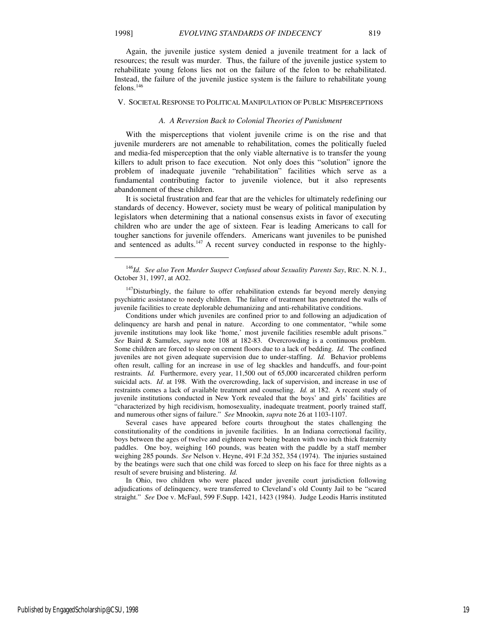Again, the juvenile justice system denied a juvenile treatment for a lack of resources; the result was murder. Thus, the failure of the juvenile justice system to rehabilitate young felons lies not on the failure of the felon to be rehabilitated. Instead, the failure of the juvenile justice system is the failure to rehabilitate young felons.<sup>146</sup>

#### V. SOCIETAL RESPONSE TO POLITICAL MANIPULATION OF PUBLIC MISPERCEPTIONS

#### *A. A Reversion Back to Colonial Theories of Punishment*

With the misperceptions that violent juvenile crime is on the rise and that juvenile murderers are not amenable to rehabilitation, comes the politically fueled and media-fed misperception that the only viable alternative is to transfer the young killers to adult prison to face execution. Not only does this "solution" ignore the problem of inadequate juvenile "rehabilitation" facilities which serve as a fundamental contributing factor to juvenile violence, but it also represents abandonment of these children.

It is societal frustration and fear that are the vehicles for ultimately redefining our standards of decency. However, society must be weary of political manipulation by legislators when determining that a national consensus exists in favor of executing children who are under the age of sixteen. Fear is leading Americans to call for tougher sanctions for juvenile offenders. Americans want juveniles to be punished and sentenced as adults.<sup>147</sup> A recent survey conducted in response to the highly-

Conditions under which juveniles are confined prior to and following an adjudication of delinquency are harsh and penal in nature. According to one commentator, "while some juvenile institutions may look like 'home,' most juvenile facilities resemble adult prisons." *See* Baird & Samules, *supra* note 108 at 182-83. Overcrowding is a continuous problem. Some children are forced to sleep on cement floors due to a lack of bedding. *Id.* The confined juveniles are not given adequate supervision due to under-staffing. *Id.* Behavior problems often result, calling for an increase in use of leg shackles and handcuffs, and four-point restraints. *Id.* Furthermore, every year, 11,500 out of 65,000 incarcerated children perform suicidal acts. *Id*. at 198. With the overcrowding, lack of supervision, and increase in use of restraints comes a lack of available treatment and counseling. *Id.* at 182.A recent study of juvenile institutions conducted in New York revealed that the boys' and girls' facilities are "characterized by high recidivism, homosexuality, inadequate treatment, poorly trained staff, and numerous other signs of failure." *See* Mnookin, *supra* note 26 at 1103-1107.

Several cases have appeared before courts throughout the states challenging the constitutionality of the conditions in juvenile facilities. In an Indiana correctional facility, boys between the ages of twelve and eighteen were being beaten with two inch thick fraternity paddles. One boy, weighing 160 pounds, was beaten with the paddle by a staff member weighing 285 pounds. *See* Nelson v. Heyne, 491 F.2d 352, 354 (1974). The injuries sustained by the beatings were such that one child was forced to sleep on his face for three nights as a result of severe bruising and blistering. *Id.*

In Ohio, two children who were placed under juvenile court jurisdiction following adjudications of delinquency, were transferred to Cleveland's old County Jail to be "scared straight." *See* Doe v. McFaul, 599 F.Supp. 1421, 1423 (1984). Judge Leodis Harris instituted

1

<sup>146</sup>*Id. See also Teen Murder Suspect Confused about Sexuality Parents Say*, REC. N. N. J., October 31, 1997, at AO2.

 $147$ Disturbingly, the failure to offer rehabilitation extends far beyond merely denying psychiatric assistance to needy children. The failure of treatment has penetrated the walls of juvenile facilities to create deplorable dehumanizing and anti-rehabilitative conditions.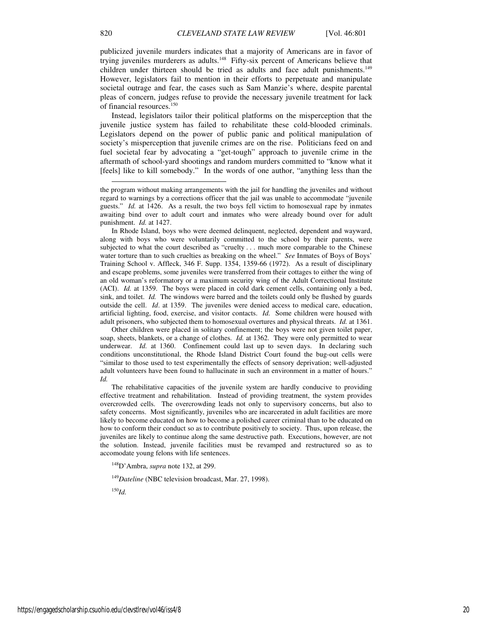publicized juvenile murders indicates that a majority of Americans are in favor of trying juveniles murderers as adults.<sup>148</sup> Fifty-six percent of Americans believe that children under thirteen should be tried as adults and face adult punishments.<sup>149</sup> However, legislators fail to mention in their efforts to perpetuate and manipulate societal outrage and fear, the cases such as Sam Manzie's where, despite parental pleas of concern, judges refuse to provide the necessary juvenile treatment for lack of financial resources.<sup>150</sup>

Instead, legislators tailor their political platforms on the misperception that the juvenile justice system has failed to rehabilitate these cold-blooded criminals. Legislators depend on the power of public panic and political manipulation of society's misperception that juvenile crimes are on the rise. Politicians feed on and fuel societal fear by advocating a "get-tough" approach to juvenile crime in the aftermath of school-yard shootings and random murders committed to "know what it [feels] like to kill somebody." In the words of one author, "anything less than the

Other children were placed in solitary confinement; the boys were not given toilet paper, soap, sheets, blankets, or a change of clothes. *Id.* at 1362. They were only permitted to wear underwear. *Id.* at 1360. Confinement could last up to seven days. In declaring such conditions unconstitutional, the Rhode Island District Court found the bug-out cells were "similar to those used to test experimentally the effects of sensory deprivation; well-adjusted adult volunteers have been found to hallucinate in such an environment in a matter of hours." *Id.*

The rehabilitative capacities of the juvenile system are hardly conducive to providing effective treatment and rehabilitation. Instead of providing treatment, the system provides overcrowded cells. The overcrowding leads not only to supervisory concerns, but also to safety concerns. Most significantly, juveniles who are incarcerated in adult facilities are more likely to become educated on how to become a polished career criminal than to be educated on how to conform their conduct so as to contribute positively to society. Thus, upon release, the juveniles are likely to continue along the same destructive path. Executions, however, are not the solution. Instead, juvenile facilities must be revamped and restructured so as to accomodate young felons with life sentences.

<sup>148</sup>D'Ambra, *supra* note 132, at 299.

<sup>149</sup>Dateline (NBC television broadcast, Mar. 27, 1998).

<sup>150</sup>*Id.*

l

the program without making arrangements with the jail for handling the juveniles and without regard to warnings by a corrections officer that the jail was unable to accommodate "juvenile guests." *Id.* at 1426. As a result, the two boys fell victim to homosexual rape by inmates awaiting bind over to adult court and inmates who were already bound over for adult punishment. *Id.* at 1427.

In Rhode Island, boys who were deemed delinquent, neglected, dependent and wayward, along with boys who were voluntarily committed to the school by their parents, were subjected to what the court described as "cruelty . . . much more comparable to the Chinese water torture than to such cruelties as breaking on the wheel." *See* Inmates of Boys of Boys' Training School v. Affleck, 346 F. Supp. 1354, 1359-66 (1972). As a result of disciplinary and escape problems, some juveniles were transferred from their cottages to either the wing of an old woman's reformatory or a maximum security wing of the Adult Correctional Institute (ACI). *Id.* at 1359. The boys were placed in cold dark cement cells, containing only a bed, sink, and toilet. *Id.* The windows were barred and the toilets could only be flushed by guards outside the cell. *Id*. at 1359. The juveniles were denied access to medical care, education, artificial lighting, food, exercise, and visitor contacts. *Id.* Some children were housed with adult prisoners, who subjected them to homosexual overtures and physical threats. *Id.* at 1361.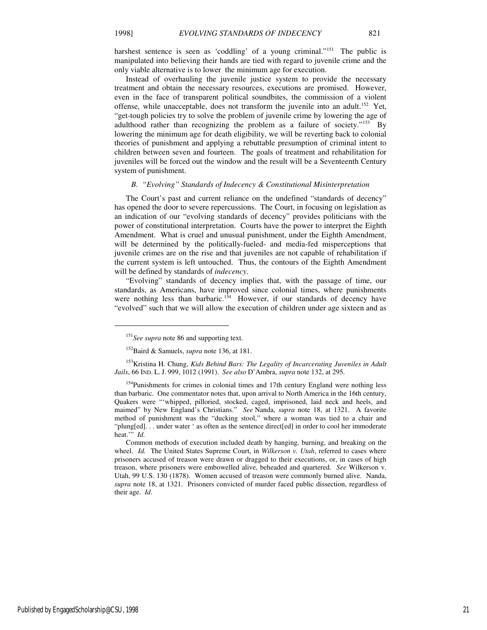$\overline{a}$ 

harshest sentence is seen as 'coddling' of a young criminal."<sup>151</sup> The public is manipulated into believing their hands are tied with regard to juvenile crime and the only viable alternative is to lower the minimum age for execution.

Instead of overhauling the juvenile justice system to provide the necessary treatment and obtain the necessary resources, executions are promised. However, even in the face of transparent political soundbites, the commission of a violent offense, while unacceptable, does not transform the juvenile into an adult.<sup>152</sup> Yet, "get-tough policies try to solve the problem of juvenile crime by lowering the age of adulthood rather than recognizing the problem as a failure of society."<sup>153</sup> By lowering the minimum age for death eligibility, we will be reverting back to colonial theories of punishment and applying a rebuttable presumption of criminal intent to children between seven and fourteen. The goals of treatment and rehabilitation for juveniles will be forced out the window and the result will be a Seventeenth Century system of punishment.

# *B. "Evolving" Standards of Indecency & Constitutional Misinterpretation*

The Court's past and current reliance on the undefined "standards of decency" has opened the door to severe repercussions. The Court, in focusing on legislation as an indication of our "evolving standards of decency" provides politicians with the power of constitutional interpretation. Courts have the power to interpret the Eighth Amendment. What is cruel and unusual punishment, under the Eighth Amendment, will be determined by the politically-fueled- and media-fed misperceptions that juvenile crimes are on the rise and that juveniles are not capable of rehabilitation if the current system is left untouched. Thus, the contours of the Eighth Amendment will be defined by standards of *indecency*.

"Evolving" standards of decency implies that, with the passage of time, our standards, as Americans, have improved since colonial times, where punishments were nothing less than barbaric.<sup>154</sup> However, if our standards of decency have "evolved" such that we will allow the execution of children under age sixteen and as

Published by EngagedScholarship@CSU, 1998 21

<sup>&</sup>lt;sup>151</sup>See supra note 86 and supporting text.

<sup>152</sup>Baird & Samuels, *supra* note 136, at 181.

<sup>153</sup>Kristina H. Chung, *Kids Behind Bars: The Legality of Incarcerating Juveniles in Adult Jails*, 66 IND. L. J. 999, 1012 (1991). *See also* D'Ambra, *supra* note 132, at 295.

<sup>&</sup>lt;sup>154</sup>Punishments for crimes in colonial times and 17th century England were nothing less than barbaric. One commentator notes that, upon arrival to North America in the 16th century, Quakers were "'whipped, pilloried, stocked, caged, imprisoned, laid neck and heels, and maimed" by New England's Christians." *See* Nanda, *supra* note 18, at 1321. A favorite method of punishment was the "ducking stool," where a woman was tied to a chair and "plung[ed]. . . under water ' as often as the sentence direct[ed] in order to cool her immoderate heat.'" *Id.*

Common methods of execution included death by hanging, burning, and breaking on the wheel. *Id.* The United States Supreme Court, in *Wilkerson v. Utah*, referred to cases where prisoners accused of treason were drawn or dragged to their executions, or, in cases of high treason, where prisoners were embowelled alive, beheaded and quartered. *See* Wilkerson v. Utah, 99 U.S. 130 (1878). Women accused of treason were commonly burned alive. Nanda, *supra* note 18, at 1321. Prisoners convicted of murder faced public dissection, regardless of their age. *Id*.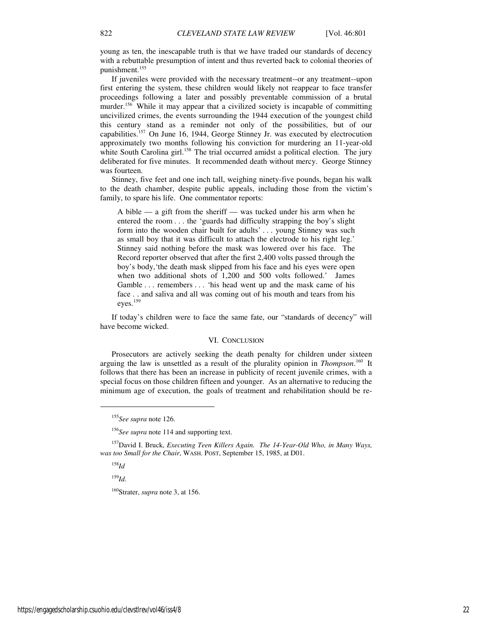young as ten, the inescapable truth is that we have traded our standards of decency with a rebuttable presumption of intent and thus reverted back to colonial theories of punishment.<sup>155</sup>

If juveniles were provided with the necessary treatment--or any treatment--upon first entering the system, these children would likely not reappear to face transfer proceedings following a later and possibly preventable commission of a brutal murder.<sup>156</sup> While it may appear that a civilized society is incapable of committing uncivilized crimes, the events surrounding the 1944 execution of the youngest child this century stand as a reminder not only of the possibilities, but of our capabilities.<sup>157</sup> On June 16, 1944, George Stinney Jr. was executed by electrocution approximately two months following his conviction for murdering an 11-year-old white South Carolina girl.<sup>158</sup> The trial occurred amidst a political election. The jury deliberated for five minutes. It recommended death without mercy. George Stinney was fourteen.

Stinney, five feet and one inch tall, weighing ninety-five pounds, began his walk to the death chamber, despite public appeals, including those from the victim's family, to spare his life. One commentator reports:

A bible — a gift from the sheriff — was tucked under his arm when he entered the room . . . the 'guards had difficulty strapping the boy's slight form into the wooden chair built for adults' . . . young Stinney was such as small boy that it was difficult to attach the electrode to his right leg.' Stinney said nothing before the mask was lowered over his face. The Record reporter observed that after the first 2,400 volts passed through the boy's body,'the death mask slipped from his face and his eyes were open when two additional shots of 1,200 and 500 volts followed.' James Gamble ... remembers ... 'his head went up and the mask came of his face . . and saliva and all was coming out of his mouth and tears from his eyes.<sup>159</sup>

If today's children were to face the same fate, our "standards of decency" will have become wicked.

#### VI. CONCLUSION

Prosecutors are actively seeking the death penalty for children under sixteen arguing the law is unsettled as a result of the plurality opinion in *Thompson*.<sup>160</sup> It follows that there has been an increase in publicity of recent juvenile crimes, with a special focus on those children fifteen and younger. As an alternative to reducing the minimum age of execution, the goals of treatment and rehabilitation should be re-

<sup>158</sup>*Id*

 $\overline{a}$ 

<sup>159</sup>*Id.*

<sup>160</sup>Strater, *supra* note 3, at 156.

<sup>155</sup>*See supra* note 126.

<sup>156</sup>*See supra* note 114 and supporting text.

<sup>157</sup>David I. Bruck, *Executing Teen Killers Again. The 14-Year-Old Who, in Many Ways, was too Small for the Chair*, WASH. POST, September 15, 1985, at D01.